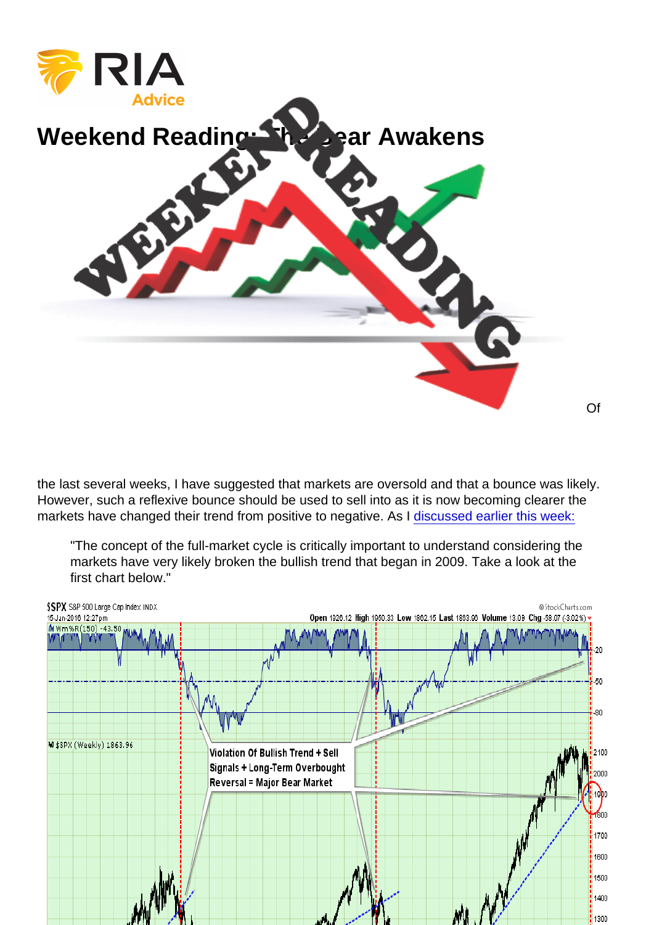## [Weekend Reading: The Bear Awakens](https://realinvestmentadvice.com/wp-content/uploads/2016/01/AAA-Weekend-Reading-BearMarket.png)

the last several weeks, I have suggested that markets are oversold and that a bounce was likely. However, such a reflexive bounce should be used to sell into as it is now becoming clearer the markets have changed their trend from positive to negative. As I [discussed earlier this week:](https://realinvestmentadvice.com/technically-speaking-the-bear-awakens/)

"The concept of the full-market cycle is critically important to understand considering the markets have very likely broken the bullish trend that began in 2009. Take a look at the first chart below."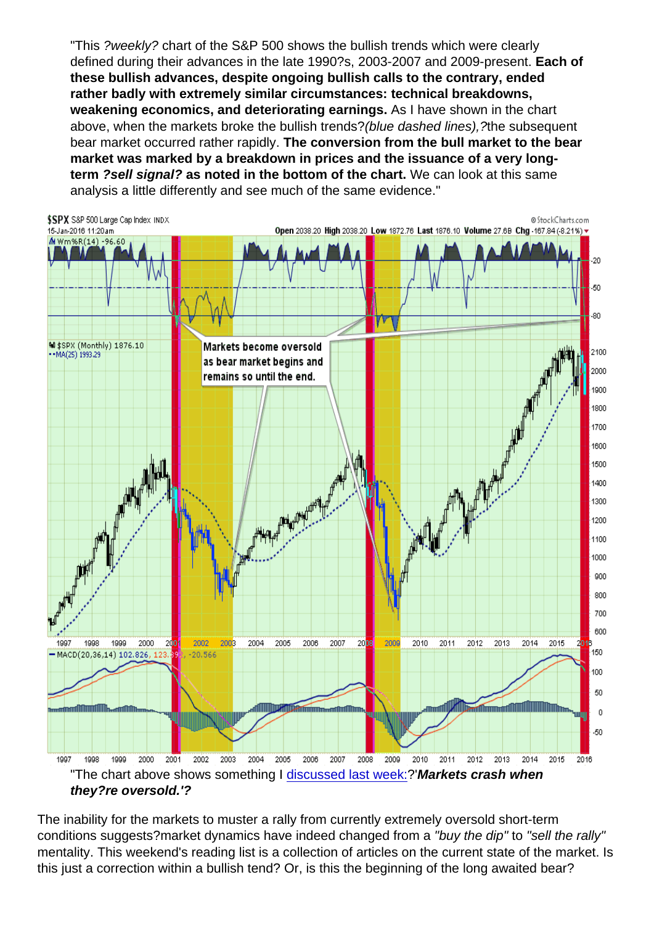"This ?weekly? chart of the S&P 500 shows the bullish trends which were clearly defined during their advances in the late 1990?s, 2003-2007 and 2009-present. Each of these bullish advances, despite ongoing bullish calls to the contrary, ended rather badly with extremely similar circumstances: technical breakdowns, weakening economics, and deteriorating earnings. As I have shown in the chart above, when the markets broke the bullish trends?(blue dashed lines),?the subsequent bear market occurred rather rapidly. The conversion from the bull market to the bear market was marked by a breakdown in prices and the issuance of a very longterm ?sell signal? as noted in the bottom of the chart. We can look at this same analysis a little differently and see much of the same evidence."

"The chart above shows something I [discussed last week:](https://realinvestmentadvice.com/3-things-fiction-oil-error-selling-off/)?'Markets crash when they?re oversold.'?

The inability for the markets to muster a rally from currently extremely oversold short-term conditions suggests?market dynamics have indeed changed from a "buy the dip" to "sell the rally" mentality. This weekend's reading list is a collection of articles on the current state of the market. Is this just a correction within a bullish tend? Or, is this the beginning of the long awaited bear?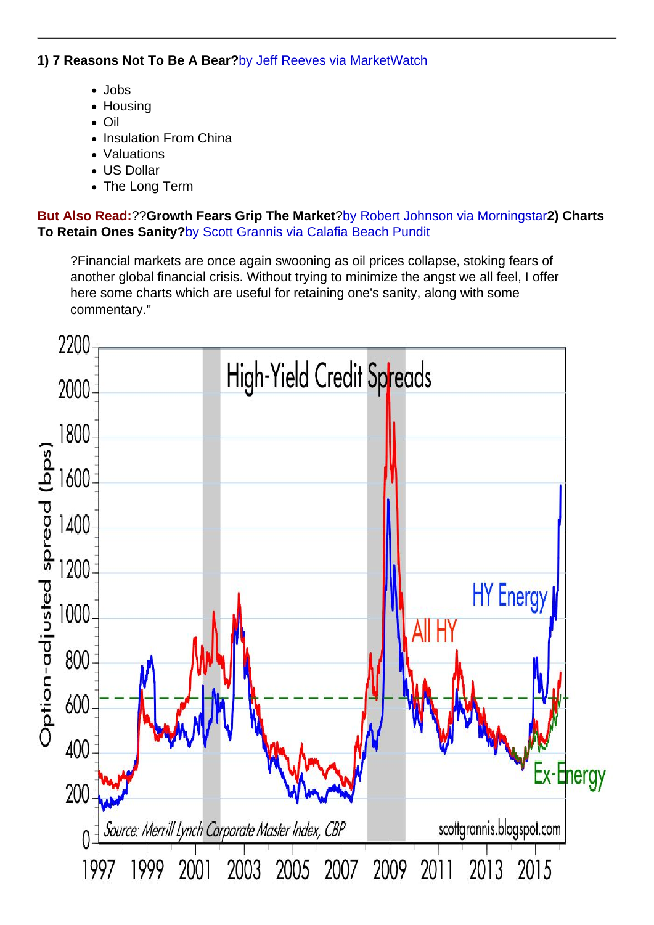1) 7 Reasons Not To Be A Bear? [by Jeff Reeves via MarketWatch](http://www.marketwatch.com/story/7-reasons-not-to-be-pessimistic-about-stocks-today-2016-01-15)

- Jobs
- Housing
- Oil
- Insulation From China
- Valuations
- US Dollar
- The Long Term

But Also Read: ??Growth Fears Grip The Market [?by Robert Johnson via Morningstar](http://news.morningstar.com/articlenet/article.aspx?id=736628)2) Charts To Retain Ones Sanity? [by Scott Grannis via Calafia Beach Pundit](http://scottgrannis.blogspot.com/2016/01/key-charts-to-watch.html)

?Financial markets are once again swooning as oil prices collapse, stoking fears of another global financial crisis. Without trying to minimize the angst we all feel, I offer here some charts which are useful for retaining one's sanity, along with some commentary."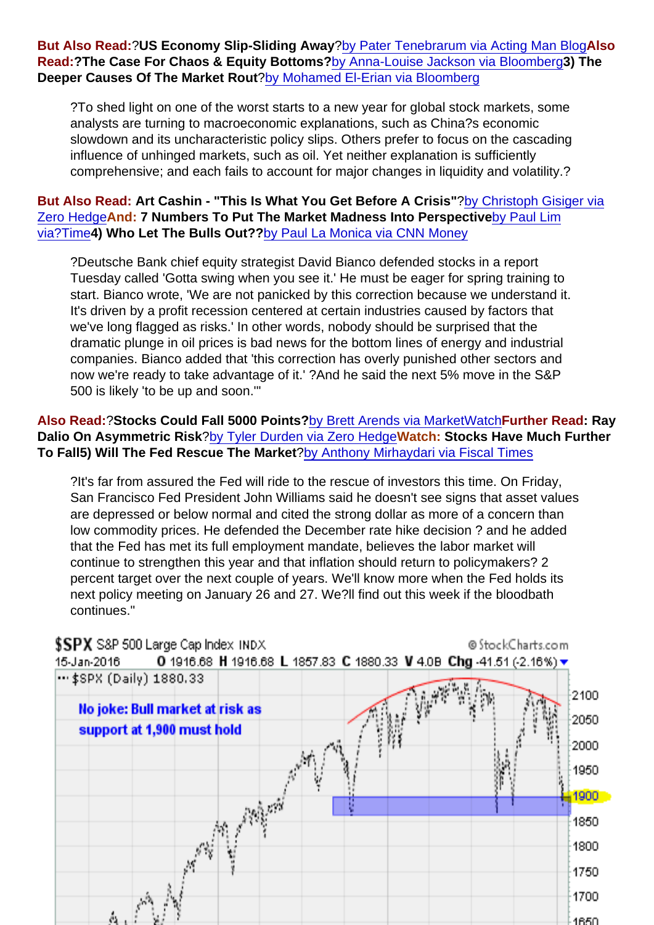But Also Read: ?US Economy Slip-Sliding Away [?by Pater Tenebrarum via Acting Man Blog](http://www.acting-man.com/?p=42642)Also Read:?The Case For Chaos & Equity Bottoms? [by Anna-Louise Jackson via Bloomberg3](http://www.bloomberg.com/news/articles/2016-01-18/the-case-for-chaos-in-trying-to-pick-bottom-of-u-s-equity-rout)) The Deeper Causes Of The Market Rout [?by Mohamed El-Erian via Bloomberg](http://www.bloombergview.com/articles/2016-01-19/the-deeper-causes-of-the-global-stocks-rout)

?To shed light on one of the worst starts to a new year for global stock markets, some analysts are turning to macroeconomic explanations, such as China?s economic slowdown and its uncharacteristic policy slips. Others prefer to focus on the cascading influence of unhinged markets, such as oil. Yet neither explanation is sufficiently comprehensive; and each fails to account for major changes in liquidity and volatility.?

But Also Read: Art Cashin - "This Is What You Get Before A Crisis" ?[by Christoph Gisiger via](http://www.zerohedge.com/news/2016-01-18/cashins-ominous-warning-what-you-get-you-slip-crisis) [Zero Hedge](http://www.zerohedge.com/news/2016-01-18/cashins-ominous-warning-what-you-get-you-slip-crisis)And: 7 Numbers To Put The Market Madness Into Perspective [by Paul Lim](http://time.com/money/4188101/stock-market-perspective/) [via?Time4](http://time.com/money/4188101/stock-market-perspective/)) Who Let The Bulls Out?? [by Paul La Monica via CNN Money](http://money.cnn.com/2016/01/19/investing/stocks-bull-bear-earnings-oil/index.html?iid=hp-toplead-dom)

?Deutsche Bank chief equity strategist David Bianco defended stocks in a report Tuesday called 'Gotta swing when you see it.' He must be eager for spring training to start. Bianco wrote, 'We are not panicked by this correction because we understand it. It's driven by a profit recession centered at certain industries caused by factors that we've long flagged as risks.' In other words, nobody should be surprised that the dramatic plunge in oil prices is bad news for the bottom lines of energy and industrial companies. Bianco added that 'this correction has overly punished other sectors and now we're ready to take advantage of it.' ?And he said the next 5% move in the S&P 500 is likely 'to be up and soon.'"

Also Read: ?Stocks Could Fall 5000 Points? [by Brett Arends via MarketWatchF](http://www.marketwatch.com/story/look-out-stocks-might-fall-a-lot-further-2016-01-21)urther Read : Ray Dalio On Asymmetric Risk ?[by Tyler Durden via Zero Hedge](http://www.zerohedge.com/news/2016-01-20/if-assets-remain-correlated-theyll-be-depression-ray-dalio-says-qe4-just-around-corn)Watch: Stocks Have Much Further To Fall 5) Will The Fed Rescue The Market ?[by Anthony Mirhaydari via Fiscal Times](http://www.thefiscaltimes.com/Columns/2016/01/19/Will-Fed-Ride-Investors-Rescue)

?It's far from assured the Fed will ride to the rescue of investors this time. On Friday, San Francisco Fed President John Williams said he doesn't see signs that asset values are depressed or below normal and cited the strong dollar as more of a concern than low commodity prices. He defended the December rate hike decision ? and he added that the Fed has met its full employment mandate, believes the labor market will continue to strengthen this year and that inflation should return to policymakers? 2 percent target over the next couple of years. We'll know more when the Fed holds its next policy meeting on January 26 and 27. We?ll find out this week if the bloodbath continues."